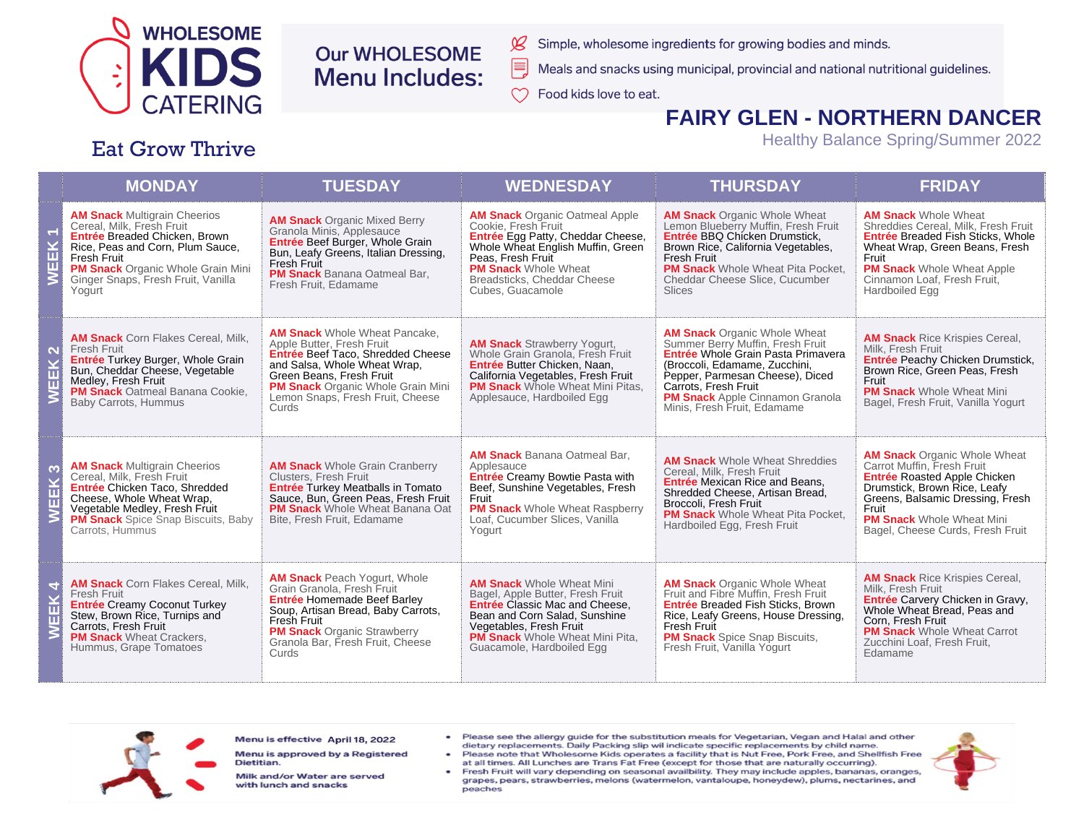

# **Our WHOLESOME Menu Includes:**

- Simple, wholesome ingredients for growing bodies and minds.
- Meals and snacks using municipal, provincial and national nutritional guidelines.
- $\infty$ Food kids love to eat.

 $\cancel{\mathcal{L}}$ 

E,

#### **FAIRY GLEN - NORTHERN DANCER**

**Healthy Balance Spring/Summer 2022** 

#### **Eat Grow Thrive**

| <b>MONDAY</b>                                                                                                                                                                                                                                           | <b>TUESDAY</b>                                                                                                                                                                                                                                              | <b>WEDNESDAY</b>                                                                                                                                                                                                                                 | <b>THURSDAY</b>                                                                                                                                                                                                                                                                    | <b>FRIDAY</b>                                                                                                                                                                                                                                                 |
|---------------------------------------------------------------------------------------------------------------------------------------------------------------------------------------------------------------------------------------------------------|-------------------------------------------------------------------------------------------------------------------------------------------------------------------------------------------------------------------------------------------------------------|--------------------------------------------------------------------------------------------------------------------------------------------------------------------------------------------------------------------------------------------------|------------------------------------------------------------------------------------------------------------------------------------------------------------------------------------------------------------------------------------------------------------------------------------|---------------------------------------------------------------------------------------------------------------------------------------------------------------------------------------------------------------------------------------------------------------|
| <b>AM Snack Multigrain Cheerios</b><br>Cereal, Milk, Fresh Fruit<br>Entrée Breaded Chicken. Brown<br>Rice, Peas and Corn, Plum Sauce,<br><b>Fresh Fruit</b><br><b>PM Snack</b> Organic Whole Grain Mini<br>Ginger Snaps, Fresh Fruit, Vanilla<br>Yogurt | <b>AM Snack Organic Mixed Berry</b><br>Granola Minis, Applesauce<br>Entrée Beef Burger, Whole Grain<br>Bun, Leafy Greens, Italian Dressing,<br>Fresh Fruit<br><b>PM Snack</b> Banana Oatmeal Bar.<br>Fresh Fruit, Edamame                                   | <b>AM Snack</b> Organic Oatmeal Apple<br>Cookie. Fresh Fruit<br>Entrée Egg Patty, Cheddar Cheese,<br>Whole Wheat English Muffin, Green<br>Peas. Fresh Fruit<br><b>PM Snack Whole Wheat</b><br>Breadsticks, Cheddar Cheese<br>Cubes, Guacamole    | <b>AM Snack Organic Whole Wheat</b><br>Lemon Blueberry Muffin, Fresh Fruit<br>Entrée BBQ Chicken Drumstick.<br>Brown Rice, California Vegetables,<br><b>Fresh Fruit</b><br><b>PM Snack</b> Whole Wheat Pita Pocket.<br>Cheddar Cheese Slice, Cucumber<br><b>Slices</b>             | <b>AM Snack Whole Wheat</b><br>Shreddies Cereal, Milk, Fresh Fruit<br><b>Entrée Breaded Fish Sticks. Whole</b><br>Wheat Wrap, Green Beans, Fresh<br>Fruit<br><b>PM Snack</b> Whole Wheat Apple<br>Cinnamon Loaf, Fresh Fruit,<br>Hardboiled Egg               |
| <b>AM Snack</b> Corn Flakes Cereal, Milk,<br>Fresh Fruit<br>Entrée Turkey Burger, Whole Grain<br>Bun, Cheddar Cheese, Vegetable<br>Medley, Fresh Fruit<br><b>PM Snack Oatmeal Banana Cookie.</b><br><b>Baby Carrots, Hummus</b>                         | <b>AM Snack</b> Whole Wheat Pancake.<br>Apple Butter, Fresh Fruit<br>Entrée Beef Taco, Shredded Cheese<br>and Salsa, Whole Wheat Wrap,<br>Green Beans, Fresh Fruit<br><b>PM Snack</b> Organic Whole Grain Mini<br>Lemon Snaps, Fresh Fruit, Cheese<br>Curds | <b>AM Snack Strawberry Yogurt,</b><br>Whole Grain Granola. Fresh Fruit<br>Entrée Butter Chicken. Naan.<br>California Vegetables, Fresh Fruit<br><b>PM Snack</b> Whole Wheat Mini Pitas.<br>Applesauce, Hardboiled Egg                            | <b>AM Snack Organic Whole Wheat</b><br>Summer Berry Muffin, Fresh Fruit<br>Entrée Whole Grain Pasta Primavera<br>(Broccoli, Edamame, Zucchini,<br>Pepper, Parmesan Cheese), Diced<br>Carrots, Fresh Fruit<br><b>PM Snack</b> Apple Cinnamon Granola<br>Minis, Fresh Fruit, Edamame | <b>AM Snack</b> Rice Krispies Cereal,<br>Milk, Fresh Fruit<br>Entrée Peachy Chicken Drumstick,<br>Brown Rice, Green Peas, Fresh<br>Fruit<br><b>PM Snack</b> Whole Wheat Mini<br>Bagel, Fresh Fruit, Vanilla Yogurt                                            |
| <b>AM Snack Multigrain Cheerios</b><br>Cereal, Milk, Fresh Fruit<br>Entrée Chicken Taco, Shredded<br>Cheese, Whole Wheat Wrap,<br>Vegetable Medley, Fresh Fruit<br><b>PM Snack</b> Spice Snap Biscuits, Baby<br>Carrots, Hummus                         | <b>AM Snack</b> Whole Grain Cranberry<br><b>Clusters, Fresh Fruit</b><br><b>Entrée Turkey Meatballs in Tomato</b><br>Sauce, Bun, Green Peas, Fresh Fruit<br><b>PM Snack</b> Whole Wheat Banana Oat<br>Bite, Fresh Fruit, Edamame                            | <b>AM Snack</b> Banana Oatmeal Bar,<br>Applesauce<br>Entrée Creamy Bowtie Pasta with<br>Beef, Sunshine Vegetables, Fresh<br>Fruit<br><b>PM Snack</b> Whole Wheat Raspberry<br>Loaf, Cucumber Slices, Vanilla<br>Yogurt                           | <b>AM Snack</b> Whole Wheat Shreddies<br>Cereal, Milk, Fresh Fruit<br><b>Entrée</b> Mexican Rice and Beans.<br>Shredded Cheese, Artisan Bread,<br>Broccoli, Fresh Fruit<br><b>PM Snack</b> Whole Wheat Pita Pocket,<br>Hardboiled Egg, Fresh Fruit                                 | <b>AM Snack Organic Whole Wheat</b><br>Carrot Muffin, Fresh Fruit<br><b>Entrée Roasted Apple Chicken</b><br>Drumstick. Brown Rice. Leafy<br>Greens, Balsamic Dressing, Fresh<br>Fruit<br><b>PM Snack</b> Whole Wheat Mini<br>Bagel, Cheese Curds, Fresh Fruit |
| <b>AM Snack</b> Corn Flakes Cereal, Milk,<br>Fresh Fruit<br><b>Entrée Creamy Coconut Turkey</b><br>Stew, Brown Rice, Turnips and<br>Carrots. Fresh Fruit<br><b>PM Snack</b> Wheat Crackers,<br>Hummus, Grape Tomatoes                                   | <b>AM Snack</b> Peach Yogurt, Whole<br>Grain Granola, Fresh Fruit<br>Entrée Homemade Beef Barley<br>Soup, Artisan Bread, Baby Carrots,<br>Fresh Fruit<br><b>PM Snack Organic Strawberry</b><br>Granola Bar, Fresh Fruit, Cheese<br>Curds                    | <b>AM Snack Whole Wheat Mini</b><br>Bagel, Apple Butter, Fresh Fruit<br><b>Entrée Classic Mac and Cheese.</b><br>Bean and Corn Salad, Sunshine<br>Vegetables, Fresh Fruit<br><b>PM Snack</b> Whole Wheat Mini Pita,<br>Guacamole, Hardboiled Egg | <b>AM Snack Organic Whole Wheat</b><br>Fruit and Fibre Muffin. Fresh Fruit<br><b>Entrée Breaded Fish Sticks, Brown</b><br>Rice, Leafy Greens, House Dressing,<br>Fresh Fruit<br><b>PM Snack</b> Spice Snap Biscuits,<br>Fresh Fruit, Vanilla Yogurt                                | <b>AM Snack</b> Rice Krispies Cereal,<br>Milk, Fresh Fruit<br>Entrée Carvery Chicken in Gravy,<br>Whole Wheat Bread, Peas and<br>Corn. Fresh Fruit<br><b>PM Snack</b> Whole Wheat Carrot<br>Zucchini Loaf, Fresh Fruit,<br>Edamame                            |



Menu is effective April 18, 2022

Menu is approved by a Registered Dietitian.

Milk and/or Water are served with lunch and snacks

- Please see the allergy guide for the substitution meals for Vegetarian, Vegan and Halal and other dietary replacements. Daily Packing slip wil indicate specific replacements by child name.
- Please note that Wholesome Kids operates a facility that is Nut Free, Pork Free, and Shellfish Free at all times. All Lunches are Trans Fat Free (except for those that are naturally occurring).
- Fresh Fruit will vary depending on seasonal availbility. They may include apples, bananas, oranges, grapes, pears, strawberries, melons (watermelon, vantaloupe, honeydew), plums, nectarines, and peaches